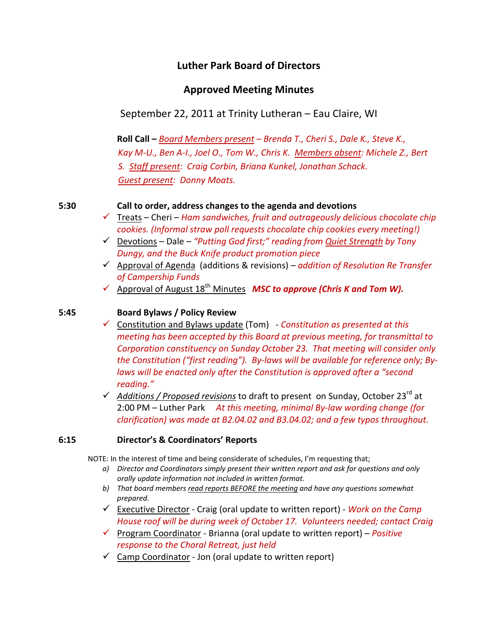# **Luther Park Board of Directors**

# **Approved Meeting Minutes**

September 22, 2011 at Trinity Lutheran – Eau Claire, WI

 **Roll Call –** *Board Members present – Brenda T., Cheri S., Dale K., Steve K.,*  Kay M-U., Ben A-I., Joel O., Tom W., Chris K. Members absent: Michele Z., Bert  *S. Staff present: Craig Corbin, Briana Kunkel, Jonathan Schack. Guest present: Donny Moats.*

### **5:30 Call to order, address changes to the agenda and devotions**

- 9 Treats Cheri *Ham sandwiches, fruit and outrageously delicious chocolate chip cookies. (Informal straw poll requests chocolate chip cookies every meeting!)*
- 9 Devotions Dale *"Putting God first;" reading from Quiet Strength by Tony Dungy, and the Buck Knife product promotion piece*
- 9 Approval of Agenda (additions & revisions) *addition of Resolution Re Transfer of Campership Funds*
- 9 Approval of August 18th Minutes *MSC to approve (Chris K and Tom W).*

## **5:45 Board Bylaws / Policy Review**

9 Constitution and Bylaws update (Tom) ‐ *Constitution as presented at this meeting has been accepted by this Board at previous meeting, for transmittal to Corporation constituency on Sunday October 23. That meeting will consider only the Constitution ("first reading"). By‐laws will be available for reference only; By‐ laws will be enacted only after the Constitution is approved after a "second reading."*

9 *Additions / Proposed revisions* to draft to present on Sunday, October 23rd at 2:00 PM – Luther Park *At this meeting, minimal By‐law wording change (for clarification) was made at B2.04.02 and B3.04.02; and a few typos throughout.*

#### **6:15 Director's & Coordinators' Reports**

NOTE: In the interest of time and being considerate of schedules, I'm requesting that;

- *a) Director and Coordinators simply present their written report and ask for questions and only orally update information not included in written format.*
- *b) That board members read reports BEFORE the meeting and have any questions somewhat prepared.*
- 9 Executive Director ‐ Craig (oral update to written report) ‐ *Work on the Camp House roof will be during week of October 17. Volunteers needed; contact Craig*
- 9 Program Coordinator ‐ Brianna (oral update to written report) *Positive response to the Choral Retreat, just held*
- $\checkmark$  Camp Coordinator Jon (oral update to written report)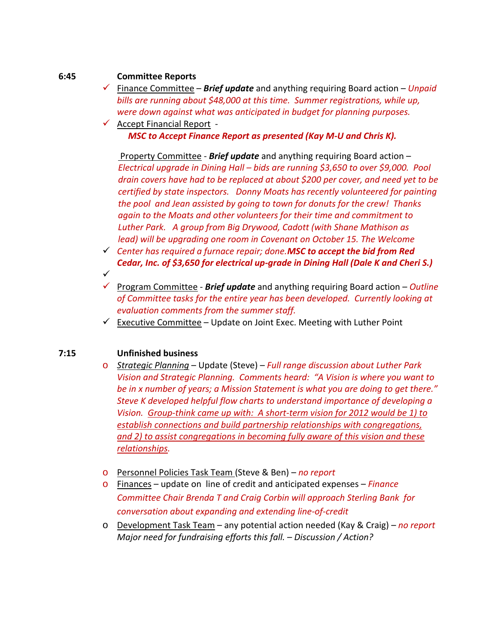### **6:45 Committee Reports**

- 9 Finance Committee *Brief update* and anything requiring Board action *Unpaid bills are running about \$48,000 at this time. Summer registrations, while up, were down against what was anticipated in budget for planning purposes.*
- $\checkmark$  Accept Financial Report -*MSC to Accept Finance Report as presented (Kay M‐U and Chris K).*

 Property Committee ‐ *Brief update* and anything requiring Board action – *Electrical upgrade in Dining Hall – bids are running \$3,650 to over \$9,000. Pool*  drain covers have had to be replaced at about \$200 per cover, and need yet to be  *certified by state inspectors. Donny Moats has recently volunteered for painting*  the pool and Jean assisted by going to town for donuts for the crew! Thanks  *again to the Moats and other volunteers for their time and commitment to Luther Park. A group from Big Drywood, Cadott (with Shane Mathison as lead) will be upgrading one room in Covenant on October 15. The Welcome*

- 9 *Center has required a furnace repair; done.MSC to accept the bid from Red Cedar, Inc. of \$3,650 for electrical up‐grade in Dining Hall (Dale K and Cheri S.)*
- $\checkmark$ 9 Program Committee ‐ *Brief update* and anything requiring Board action – *Outline of Committee tasks for the entire year has been developed. Currently looking at evaluation comments from the summer staff.*
- $\checkmark$  Executive Committee Update on Joint Exec. Meeting with Luther Point

## **7:15 Unfinished business**

- o *Strategic Planning* Update (Steve) *Full range discussion about Luther Park Vision and Strategic Planning. Comments heard: "A Vision is where you want to be in x number of years; a Mission Statement is what you are doing to get there." Steve K developed helpful flow charts to understand importance of developing a Vision. Group‐think came up with: A short‐term vision for 2012 would be 1) to establish connections and build partnership relationships with congregations, and 2) to assist congregations in becoming fully aware of this vision and these relationships.*
- o Personnel Policies Task Team (Steve & Ben) *no report*
- o Finances update on line of credit and anticipated expenses *Finance Committee Chair Brenda T and Craig Corbin will approach Sterling Bank for conversation about expanding and extending line‐of‐credit*
- o Development Task Team any potential action needed (Kay & Craig) *no report Major need for fundraising efforts this fall. – Discussion / Action?*